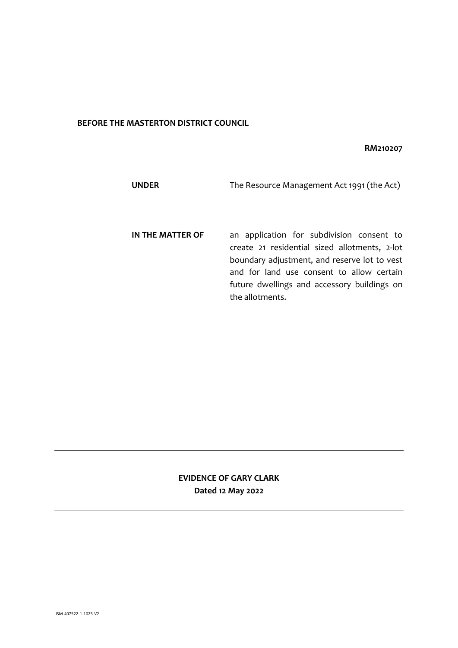## **BEFORE THE MASTERTON DISTRICT COUNCIL**

## **RM210207**

| <b>UNDER</b>     | The Resource Management Act 1991 (the Act)                                                                                                                                                                                                                |
|------------------|-----------------------------------------------------------------------------------------------------------------------------------------------------------------------------------------------------------------------------------------------------------|
| IN THE MATTER OF | an application for subdivision consent to<br>create 21 residential sized allotments, 2-lot<br>boundary adjustment, and reserve lot to vest<br>and for land use consent to allow certain<br>future dwellings and accessory buildings on<br>the allotments. |

# **EVIDENCE OF GARY CLARK Dated 12 May 2022**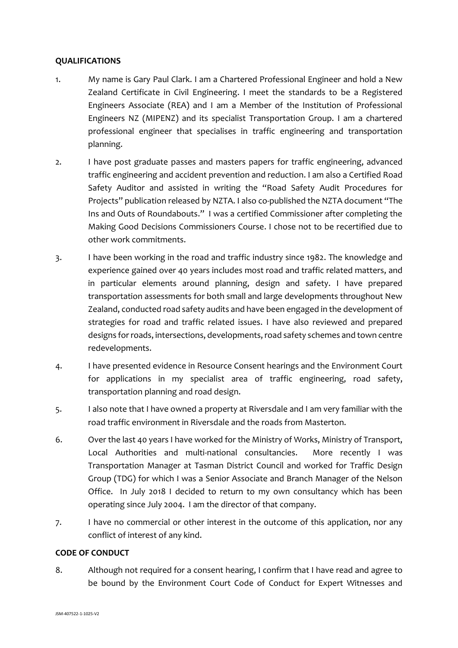## **QUALIFICATIONS**

- 1. My name is Gary Paul Clark. I am a Chartered Professional Engineer and hold a New Zealand Certificate in Civil Engineering. I meet the standards to be a Registered Engineers Associate (REA) and I am a Member of the Institution of Professional Engineers NZ (MIPENZ) and its specialist Transportation Group. I am a chartered professional engineer that specialises in traffic engineering and transportation planning.
- 2. I have post graduate passes and masters papers for traffic engineering, advanced traffic engineering and accident prevention and reduction. I am also a Certified Road Safety Auditor and assisted in writing the "Road Safety Audit Procedures for Projects" publication released by NZTA. I also co-published the NZTA document "The Ins and Outs of Roundabouts." I was a certified Commissioner after completing the Making Good Decisions Commissioners Course. I chose not to be recertified due to other work commitments.
- 3. I have been working in the road and traffic industry since 1982. The knowledge and experience gained over 40 years includes most road and traffic related matters, and in particular elements around planning, design and safety. I have prepared transportation assessments for both small and large developments throughout New Zealand, conducted road safety audits and have been engaged in the development of strategies for road and traffic related issues. I have also reviewed and prepared designs for roads, intersections, developments, road safety schemes and town centre redevelopments.
- 4. I have presented evidence in Resource Consent hearings and the Environment Court for applications in my specialist area of traffic engineering, road safety, transportation planning and road design.
- 5. I also note that I have owned a property at Riversdale and I am very familiar with the road traffic environment in Riversdale and the roads from Masterton.
- 6. Over the last 40 years I have worked for the Ministry of Works, Ministry of Transport, Local Authorities and multi-national consultancies. More recently I was Transportation Manager at Tasman District Council and worked for Traffic Design Group (TDG) for which I was a Senior Associate and Branch Manager of the Nelson Office. In July 2018 I decided to return to my own consultancy which has been operating since July 2004. I am the director of that company.
- 7. I have no commercial or other interest in the outcome of this application, nor any conflict of interest of any kind.

## **CODE OF CONDUCT**

8. Although not required for a consent hearing, I confirm that I have read and agree to be bound by the Environment Court Code of Conduct for Expert Witnesses and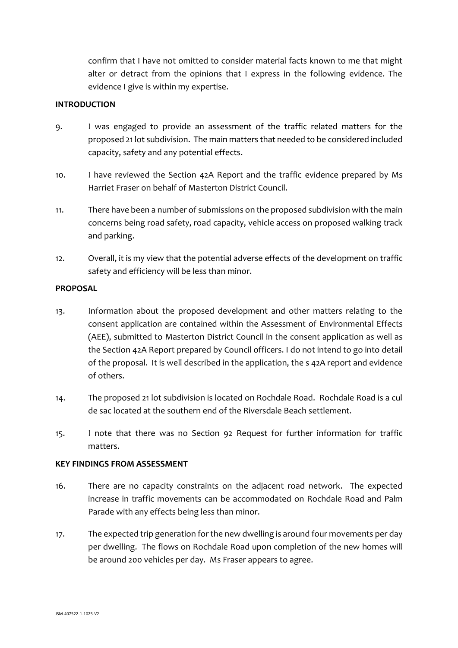confirm that I have not omitted to consider material facts known to me that might alter or detract from the opinions that I express in the following evidence. The evidence I give is within my expertise.

#### **INTRODUCTION**

- 9. I was engaged to provide an assessment of the traffic related matters for the proposed 21 lot subdivision. The main matters that needed to be considered included capacity, safety and any potential effects.
- 10. I have reviewed the Section 42A Report and the traffic evidence prepared by Ms Harriet Fraser on behalf of Masterton District Council.
- 11. There have been a number of submissions on the proposed subdivision with the main concerns being road safety, road capacity, vehicle access on proposed walking track and parking.
- 12. Overall, it is my view that the potential adverse effects of the development on traffic safety and efficiency will be less than minor.

#### **PROPOSAL**

- 13. Information about the proposed development and other matters relating to the consent application are contained within the Assessment of Environmental Effects (AEE), submitted to Masterton District Council in the consent application as well as the Section 42A Report prepared by Council officers. I do not intend to go into detail of the proposal. It is well described in the application, the s 42A report and evidence of others.
- 14. The proposed 21 lot subdivision is located on Rochdale Road. Rochdale Road is a cul de sac located at the southern end of the Riversdale Beach settlement.
- 15. I note that there was no Section 92 Request for further information for traffic matters.

#### **KEY FINDINGS FROM ASSESSMENT**

- 16. There are no capacity constraints on the adjacent road network. The expected increase in traffic movements can be accommodated on Rochdale Road and Palm Parade with any effects being less than minor.
- 17. The expected trip generation for the new dwelling is around four movements per day per dwelling. The flows on Rochdale Road upon completion of the new homes will be around 200 vehicles per day. Ms Fraser appears to agree.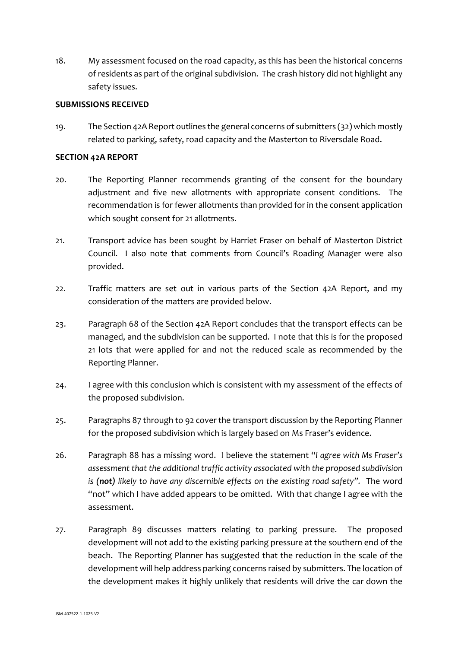18. My assessment focused on the road capacity, as this has been the historical concerns of residents as part of the original subdivision. The crash history did not highlight any safety issues.

#### **SUBMISSIONS RECEIVED**

19. The Section 42A Report outlines the general concerns of submitters (32) which mostly related to parking, safety, road capacity and the Masterton to Riversdale Road.

#### **SECTION 42A REPORT**

- 20. The Reporting Planner recommends granting of the consent for the boundary adjustment and five new allotments with appropriate consent conditions. The recommendation is for fewer allotments than provided for in the consent application which sought consent for 21 allotments.
- 21. Transport advice has been sought by Harriet Fraser on behalf of Masterton District Council. I also note that comments from Council's Roading Manager were also provided.
- 22. Traffic matters are set out in various parts of the Section 42A Report, and my consideration of the matters are provided below.
- 23. Paragraph 68 of the Section 42A Report concludes that the transport effects can be managed, and the subdivision can be supported. I note that this is for the proposed 21 lots that were applied for and not the reduced scale as recommended by the Reporting Planner.
- 24. I agree with this conclusion which is consistent with my assessment of the effects of the proposed subdivision.
- 25. Paragraphs 87 through to 92 cover the transport discussion by the Reporting Planner for the proposed subdivision which is largely based on Ms Fraser's evidence.
- 26. Paragraph 88 has a missing word. I believe the statement "*I agree with Ms Fraser's assessment that the additional traffic activity associated with the proposed subdivision is (not) likely to have any discernible effects on the existing road safety".* The word "not" which I have added appears to be omitted. With that change I agree with the assessment.
- 27. Paragraph 89 discusses matters relating to parking pressure. The proposed development will not add to the existing parking pressure at the southern end of the beach. The Reporting Planner has suggested that the reduction in the scale of the development will help address parking concerns raised by submitters. The location of the development makes it highly unlikely that residents will drive the car down the